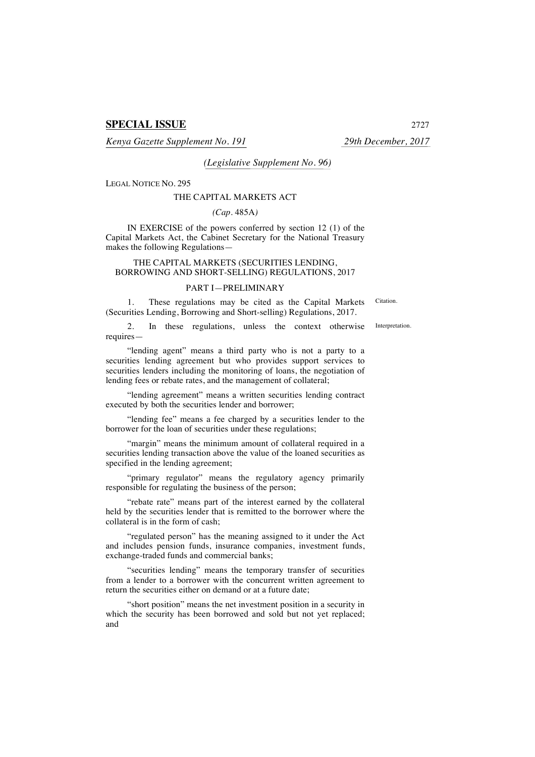# **SPECIAL ISSUE** 2727

*Kenya Gazette Supplement No. 191 29th December, 2017*

Citation.

*(Legislative Supplement No. 96)*

LEGAL NOTICE NO. 295

#### THE CAPITAL MARKETS ACT

## *(Cap.* 485A*)*

IN EXERCISE of the powers conferred by section 12 (1) of the Capital Markets Act, the Cabinet Secretary for the National Treasury makes the following Regulations—

### THE CAPITAL MARKETS (SECURITIES LENDING, BORROWING AND SHORT-SELLING) REGULATIONS, 2017

#### PART I—PRELIMINARY

1. These regulations may be cited as the Capital Markets (Securities Lending, Borrowing and Short-selling) Regulations, 2017.

2. In these regulations, unless the context otherwise requires— Interpretation.

"lending agent" means a third party who is not a party to a securities lending agreement but who provides support services to securities lenders including the monitoring of loans, the negotiation of lending fees or rebate rates, and the management of collateral;

"lending agreement" means a written securities lending contract executed by both the securities lender and borrower;

"lending fee" means a fee charged by a securities lender to the borrower for the loan of securities under these regulations;

"margin" means the minimum amount of collateral required in a securities lending transaction above the value of the loaned securities as specified in the lending agreement;

"primary regulator" means the regulatory agency primarily responsible for regulating the business of the person;

"rebate rate" means part of the interest earned by the collateral held by the securities lender that is remitted to the borrower where the collateral is in the form of cash;

"regulated person" has the meaning assigned to it under the Act and includes pension funds, insurance companies, investment funds, exchange-traded funds and commercial banks;

"securities lending" means the temporary transfer of securities from a lender to a borrower with the concurrent written agreement to return the securities either on demand or at a future date;

"short position" means the net investment position in a security in which the security has been borrowed and sold but not yet replaced; and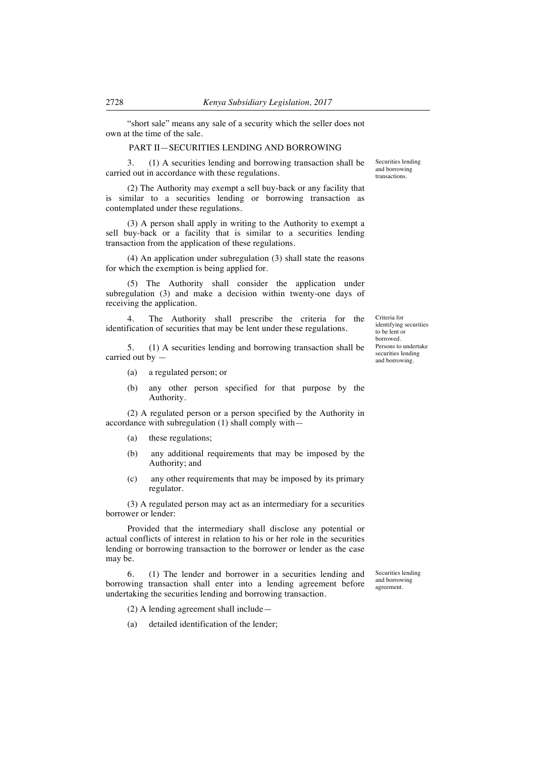"short sale" means any sale of a security which the seller does not own at the time of the sale.

#### PART II—SECURITIES LENDING AND BORROWING

3. (1) A securities lending and borrowing transaction shall be carried out in accordance with these regulations.

(2) The Authority may exempt a sell buy-back or any facility that is similar to a securities lending or borrowing transaction as contemplated under these regulations.

(3) A person shall apply in writing to the Authority to exempt a sell buy-back or a facility that is similar to a securities lending transaction from the application of these regulations.

(4) An application under subregulation (3) shall state the reasons for which the exemption is being applied for.

(5) The Authority shall consider the application under subregulation (3) and make a decision within twenty-one days of receiving the application.

4. The Authority shall prescribe the criteria for the identification of securities that may be lent under these regulations.

5. (1) A securities lending and borrowing transaction shall be carried out by —

- (a) a regulated person; or
- (b) any other person specified for that purpose by the Authority.

(2) A regulated person or a person specified by the Authority in accordance with subregulation (1) shall comply with—

- (a) these regulations;
- (b) any additional requirements that may be imposed by the Authority; and
- (c) any other requirements that may be imposed by its primary regulator.

(3) A regulated person may act as an intermediary for a securities borrower or lender:

Provided that the intermediary shall disclose any potential or actual conflicts of interest in relation to his or her role in the securities lending or borrowing transaction to the borrower or lender as the case may be.

6. (1) The lender and borrower in a securities lending and borrowing transaction shall enter into a lending agreement before undertaking the securities lending and borrowing transaction.

Securities lending and borrowing agreement.

(2) A lending agreement shall include—

(a) detailed identification of the lender;

Securities lending and borrowing transactions.

Criteria for identifying securities to be lent or borrowed. Persons to undertake securities lending and borrowing.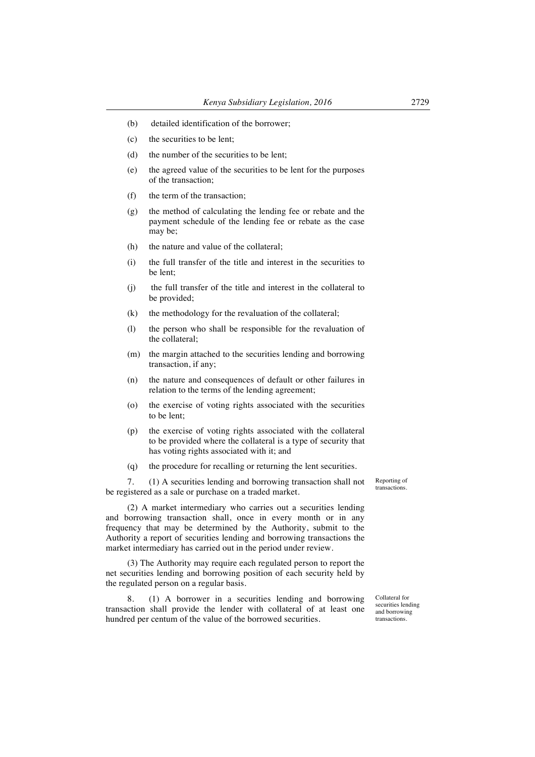- (b) detailed identification of the borrower;
- (c) the securities to be lent;
- (d) the number of the securities to be lent;
- (e) the agreed value of the securities to be lent for the purposes of the transaction;
- (f) the term of the transaction;
- (g) the method of calculating the lending fee or rebate and the payment schedule of the lending fee or rebate as the case may be;
- (h) the nature and value of the collateral;
- (i) the full transfer of the title and interest in the securities to be lent;
- (j) the full transfer of the title and interest in the collateral to be provided;
- (k) the methodology for the revaluation of the collateral;
- (l) the person who shall be responsible for the revaluation of the collateral;
- (m) the margin attached to the securities lending and borrowing transaction, if any;
- (n) the nature and consequences of default or other failures in relation to the terms of the lending agreement;
- (o) the exercise of voting rights associated with the securities to be lent;
- (p) the exercise of voting rights associated with the collateral to be provided where the collateral is a type of security that has voting rights associated with it; and
- (q) the procedure for recalling or returning the lent securities.

7. (1) A securities lending and borrowing transaction shall not be registered as a sale or purchase on a traded market.

(2) A market intermediary who carries out a securities lending and borrowing transaction shall, once in every month or in any frequency that may be determined by the Authority, submit to the Authority a report of securities lending and borrowing transactions the market intermediary has carried out in the period under review.

(3) The Authority may require each regulated person to report the net securities lending and borrowing position of each security held by the regulated person on a regular basis.

8. (1) A borrower in a securities lending and borrowing transaction shall provide the lender with collateral of at least one hundred per centum of the value of the borrowed securities.

Reporting of transactions.

Collateral for securities lending and borrowing transactions.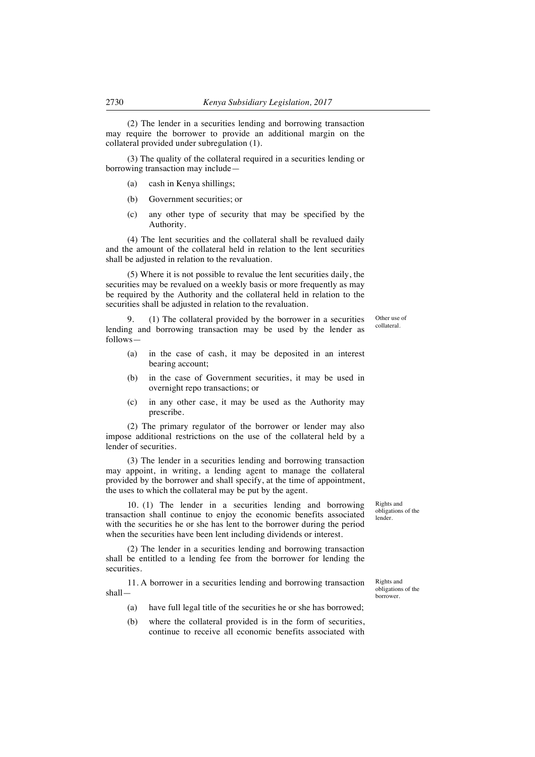(2) The lender in a securities lending and borrowing transaction may require the borrower to provide an additional margin on the collateral provided under subregulation (1).

(3) The quality of the collateral required in a securities lending or borrowing transaction may include—

- (a) cash in Kenya shillings;
- (b) Government securities; or
- (c) any other type of security that may be specified by the Authority.

(4) The lent securities and the collateral shall be revalued daily and the amount of the collateral held in relation to the lent securities shall be adjusted in relation to the revaluation.

(5) Where it is not possible to revalue the lent securities daily, the securities may be revalued on a weekly basis or more frequently as may be required by the Authority and the collateral held in relation to the securities shall be adjusted in relation to the revaluation.

9. (1) The collateral provided by the borrower in a securities lending and borrowing transaction may be used by the lender as follows—

- (a) in the case of cash, it may be deposited in an interest bearing account;
- (b) in the case of Government securities, it may be used in overnight repo transactions; or
- (c) in any other case, it may be used as the Authority may prescribe.

(2) The primary regulator of the borrower or lender may also impose additional restrictions on the use of the collateral held by a lender of securities.

(3) The lender in a securities lending and borrowing transaction may appoint, in writing, a lending agent to manage the collateral provided by the borrower and shall specify, at the time of appointment, the uses to which the collateral may be put by the agent.

10. (1) The lender in a securities lending and borrowing transaction shall continue to enjoy the economic benefits associated with the securities he or she has lent to the borrower during the period when the securities have been lent including dividends or interest.

(2) The lender in a securities lending and borrowing transaction shall be entitled to a lending fee from the borrower for lending the securities.

11. A borrower in a securities lending and borrowing transaction shall—

- (a) have full legal title of the securities he or she has borrowed;
- (b) where the collateral provided is in the form of securities, continue to receive all economic benefits associated with

Rights and obligations of the lender.

Rights and obligations of the borrower.

Other use of collateral.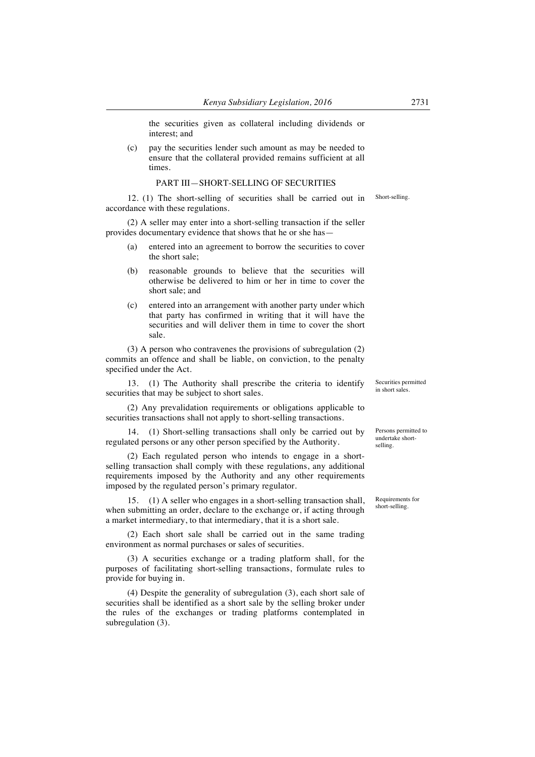the securities given as collateral including dividends or interest; and

(c) pay the securities lender such amount as may be needed to ensure that the collateral provided remains sufficient at all times.

## PART III—SHORT-SELLING OF SECURITIES

12. (1) The short-selling of securities shall be carried out in accordance with these regulations. Short-selling.

(2) A seller may enter into a short-selling transaction if the seller provides documentary evidence that shows that he or she has—

- (a) entered into an agreement to borrow the securities to cover the short sale;
- (b) reasonable grounds to believe that the securities will otherwise be delivered to him or her in time to cover the short sale; and
- (c) entered into an arrangement with another party under which that party has confirmed in writing that it will have the securities and will deliver them in time to cover the short sale.

(3) A person who contravenes the provisions of subregulation (2) commits an offence and shall be liable, on conviction, to the penalty specified under the Act.

13. (1) The Authority shall prescribe the criteria to identify securities that may be subject to short sales.

(2) Any prevalidation requirements or obligations applicable to securities transactions shall not apply to short-selling transactions.

14. (1) Short-selling transactions shall only be carried out by regulated persons or any other person specified by the Authority.

(2) Each regulated person who intends to engage in a shortselling transaction shall comply with these regulations, any additional requirements imposed by the Authority and any other requirements imposed by the regulated person's primary regulator.

15. (1) A seller who engages in a short-selling transaction shall, when submitting an order, declare to the exchange or, if acting through a market intermediary, to that intermediary, that it is a short sale.

(2) Each short sale shall be carried out in the same trading environment as normal purchases or sales of securities.

(3) A securities exchange or a trading platform shall, for the purposes of facilitating short-selling transactions, formulate rules to provide for buying in.

(4) Despite the generality of subregulation (3), each short sale of securities shall be identified as a short sale by the selling broker under the rules of the exchanges or trading platforms contemplated in subregulation (3).

Securities permitted in short sales.

Persons permitted to undertake shortselling.

Requirements for short-selling.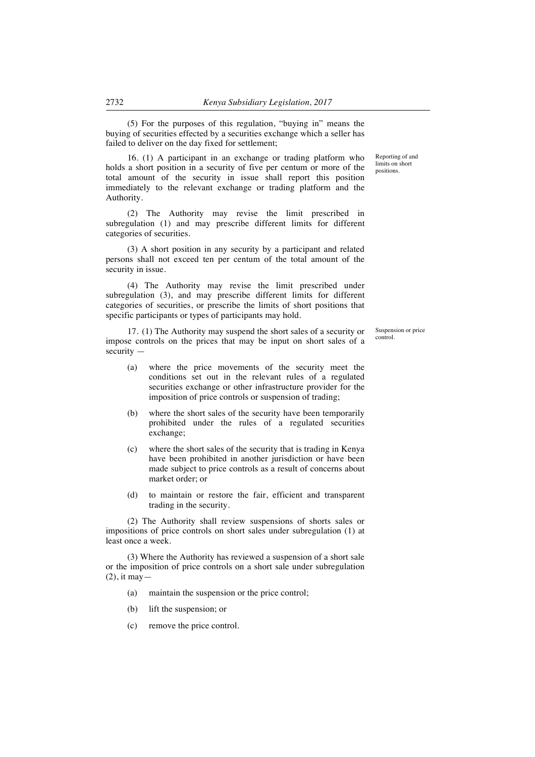(5) For the purposes of this regulation, "buying in" means the buying of securities effected by a securities exchange which a seller has failed to deliver on the day fixed for settlement;

16. (1) A participant in an exchange or trading platform who holds a short position in a security of five per centum or more of the total amount of the security in issue shall report this position immediately to the relevant exchange or trading platform and the Authority.

(2) The Authority may revise the limit prescribed in subregulation (1) and may prescribe different limits for different categories of securities.

(3) A short position in any security by a participant and related persons shall not exceed ten per centum of the total amount of the security in issue.

(4) The Authority may revise the limit prescribed under subregulation (3), and may prescribe different limits for different categories of securities, or prescribe the limits of short positions that specific participants or types of participants may hold.

17. (1) The Authority may suspend the short sales of a security or impose controls on the prices that may be input on short sales of a  $security =$ 

- (a) where the price movements of the security meet the conditions set out in the relevant rules of a regulated securities exchange or other infrastructure provider for the imposition of price controls or suspension of trading;
- (b) where the short sales of the security have been temporarily prohibited under the rules of a regulated securities exchange;
- (c) where the short sales of the security that is trading in Kenya have been prohibited in another jurisdiction or have been made subject to price controls as a result of concerns about market order; or
- (d) to maintain or restore the fair, efficient and transparent trading in the security.

(2) The Authority shall review suspensions of shorts sales or impositions of price controls on short sales under subregulation (1) at least once a week.

(3) Where the Authority has reviewed a suspension of a short sale or the imposition of price controls on a short sale under subregulation (2), it may—

- (a) maintain the suspension or the price control;
- (b) lift the suspension; or
- (c) remove the price control.

Reporting of and limits on short positions.

Suspension or price control.